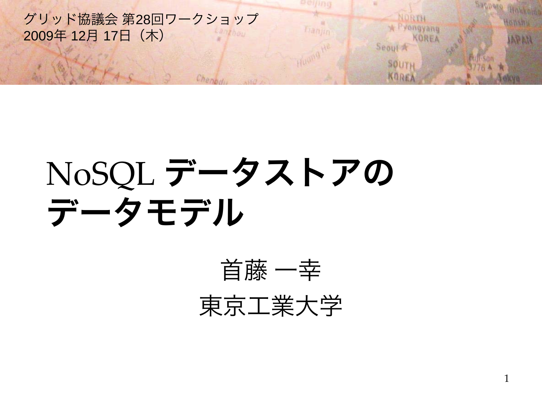グリッド協議会 第28回ワークショップ 2009年 12月 17日(木)

## NoSQL データストアの データモデル

Chank



selfing

franjin

1

Sagnese

NORTH

Seoul A

**SOUTH** KOREA

\* Pyongyang

KOREA

Hokkolas

APAN

**towshu**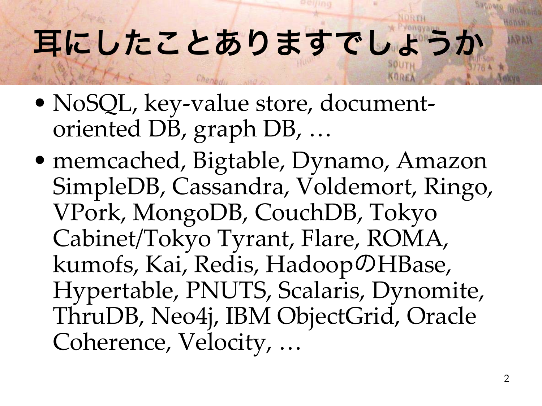### 耳にしたことありますでしょうか

- NoSQL, key-value store, documentoriented DB, graph DB, …
- memcached, Bigtable, Dynamo, Amazon SimpleDB, Cassandra, Voldemort, Ringo, VPork, MongoDB, CouchDB, Tokyo Cabinet/Tokyo Tyrant, Flare, ROMA, kumofs, Kai, Redis, Hadoop のHBase, Hypertable, PNUTS, Scalaris, Dynomite, ThruDB, Neo4j, IBM ObjectGrid, Oracle Coherence, Velocity, …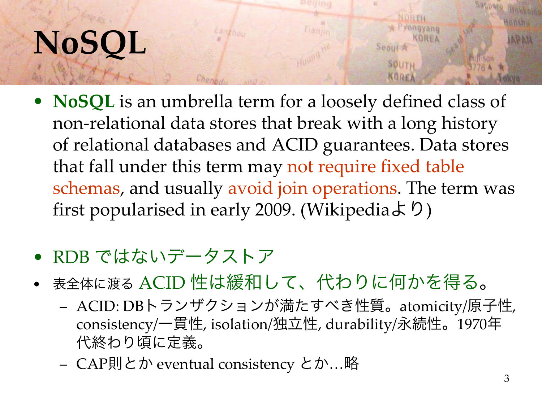### **NoSQL**

• **NoSQL** is an umbrella term for a loosely defined class of non-relational data stores that break with a long history of relational databases and ACID guarantees. Data stores that fall under this term may not require fixed table schemas, and usually avoid join operations. The term was first popularised in early 2009. (Wikipediaより)

Lamphon

- RDB ではないデータストア
- 表全体に渡る ACID 性は緩和して、代わりに何かを得る。
	- ACID: DBトランザクションが満たすべき性質。atomicity/原子性, consistency/一貫性, isolation/独立性, durability/永続性。1970年 代終わり頃に定義。
	- CAP則とか eventual consistency とか…略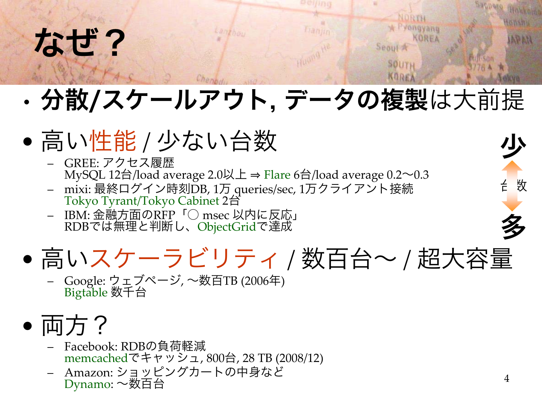#### なぜ?

#### •分散/スケールアウト, データの複製は大前提

**Banin** 

- •● 高い性能 / 少ない台数
	- GREE: アクセス履歴 MySQL <sup>12</sup>台/load average 2.0以上 <sup>⇒</sup> Flare <sup>6</sup>台/load average 0.2~0.3
	- –mixi: 最終ログイン時刻DB, 1<sup>万</sup> queries/sec, 1万クライアント接続 Tokyo Tyrant/Tokyo Cabinet <sup>2</sup><sup>台</sup>

Lamybou

– IBM: 金融方面のRFP「○ msec 以内に反応」 RDBでは無理と判断し、ObjectGridで達成



Google: ウェブページ*,* 〜数百TB (2006年)<br><mark>Bigtabl</mark>e 数千台

#### • 両方?

- – Facebook: RDBの負荷軽減 memcachedでキャッシュ, 800台, 28 TB (2008/12)
- Amazon: ショッピングカートの中身など Dynamo: ~数百台

台数

少

NORTH yongyanu

Seoul 2

SOUTH

多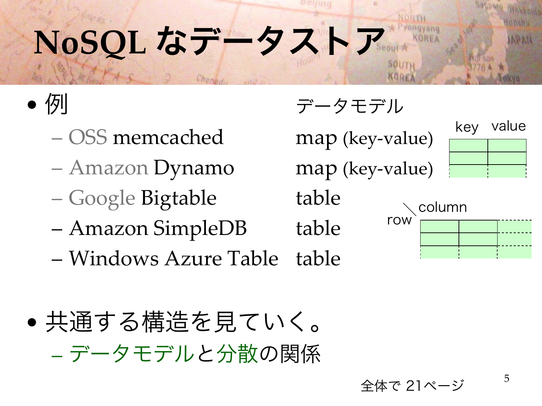# **NoSQL** なデータストア

• 例

- OSS memcached
- Amazon Dynamo map (key-value)
- Google Bigtable table
- Amazon SimpleDB table
- Windows Azure Table table

• 共通する構造を見ていく。 データモデルと分散の関係

例 データモデル

map (key-value)

key value

|     | column |  |
|-----|--------|--|
| row |        |  |
|     |        |  |
|     |        |  |

全体で 21ページ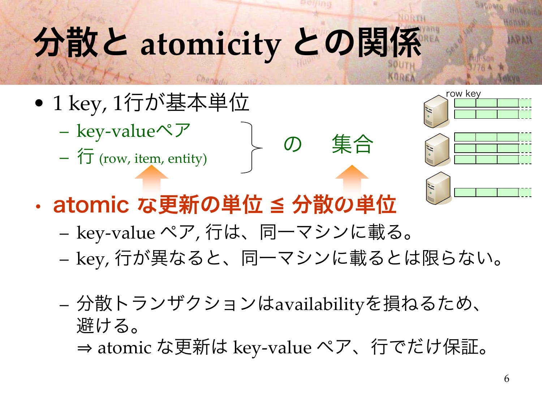# 分散と **atomicity** との関係

- • 1 key, 1行が基本単位
	- key-valueペア
	- $\overleftarrow{\mathrm{T}}$  (row, item, entity)
- atomic な更新の単位 ≦ 分散の単位
	- –key-value ペア, 行は、同一マシンに載る。
	- –key, 行が異なると、同一マシンに載るとは限らない。

の 集合

- – 分散トランザクションはavailabilityを損ねるため、 避ける。
	- ⇒ atomic な更新は key-value ペア、行でだけ保証。

row key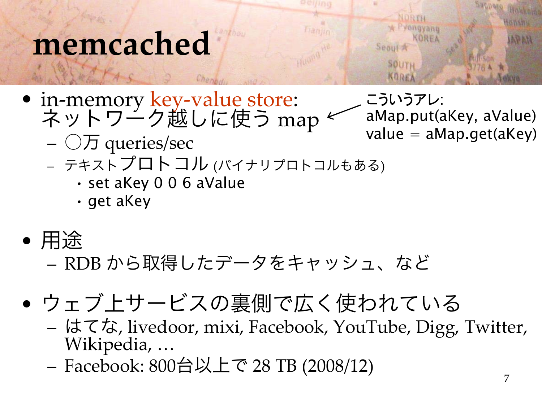#### **memcached**

• in-memory key-value store: エニング<br>ネットワーク越しに使う map

こういうアレ: aMap.put(aKey, aValue)  $value = aMap.get(akey)$ 

**SBOUL** 

**SOUT** 

- $\bigcirc$ 万 queries/sec
- テキストプロトコル (バイナリプロトコルもある)
	- set aKey 0 0 6 aValue
	- get aKey
- 用途

– RDB から取得したデータをキャッシュ、など

- ウェブ上サービスの裏側で広く使われている
	- はてな, livedoor, mixi, Facebook, YouTube, Digg, Twitter, Wikipedia, …
	- Facebook: 800台以上で 28 TB (2008/12)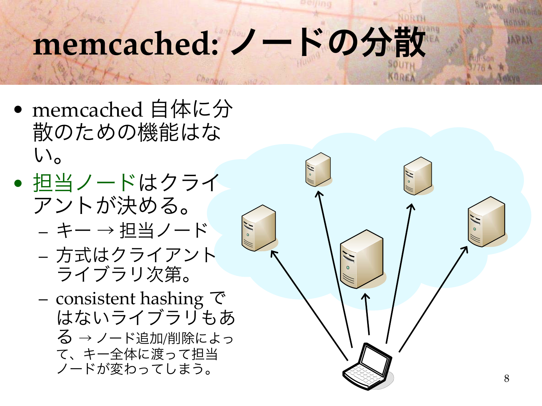## memcached: ノードの分散

- memcached 自体に分 散のための機能はな  $\mathsf{U}$
- 担当ノードはクライ アントが決める。
	- キー <sup>→</sup> 担当ノード
	- 方式はクライアント ライブラリ次第。
	- consistent hashing  $\vec{\infty}$ はないライブラリもあ る <sup>→</sup> ノード追加/削除によっ て、キー全体に渡って担当 ノードが変わってしまう。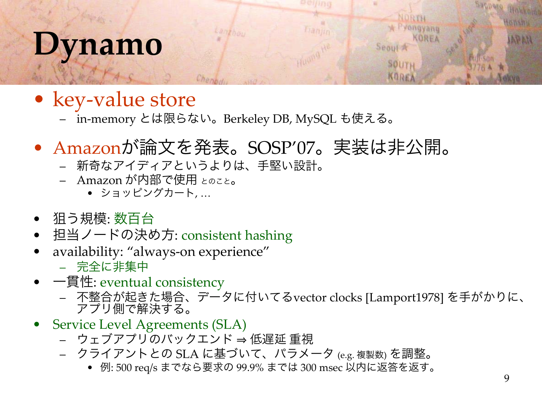#### **Dynamo**

- key-value store
	- in-memory とは限らない。Berkeley DB, MySQL も使える。

Charney

Lambou

- Amazonが論文を発表。SOSP'07。実装は非公開。
	- 新奇なアイディアというよりは、手堅い設計。
	- Amazon が内部で使用 とのこと。
		- ショッピングカート, …
- 狙う規模: 数百台
- 担当ノードの決め方: consistent hashing
- availability: "always-on experience"
	- 完全に非集中
- 一貫性: eventual consistency
	- 不整合が起きた場合、データに付いてるvector clocks [Lamport1978] を手がかりに、 アプリ側で解決する。

franjin

- Service Level Agreements (SLA)
	- ウェブアプリのバックエンド <sup>⇒</sup> 低遅延 重視
	- クライアントとの SLA に基づいて、パラメータ (e.g. 複製数) を調整。
		- 例: 500 req/s までなら要求の 99.9% までは 300 msec 以内に返答を返す。

Sagnese

OWNRO

**APAN** 

NORTH

Seoul A

SOUTH KOREA

yongyang

KOREA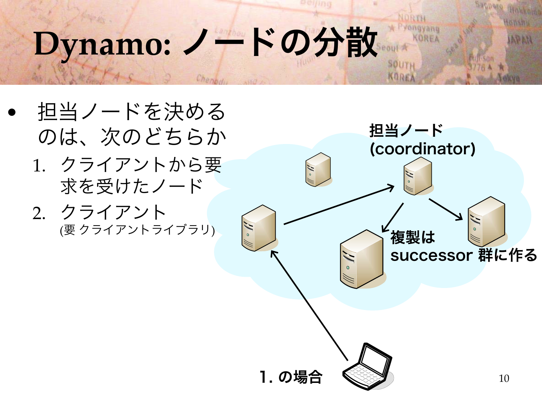### Dynamo: ノードの分散

Char

- • 担当ノードを決める のは、次のどちらか
	- 1. クライアントから要 求を受けたノード
	- 2. クライアント



**SOUTI** Knps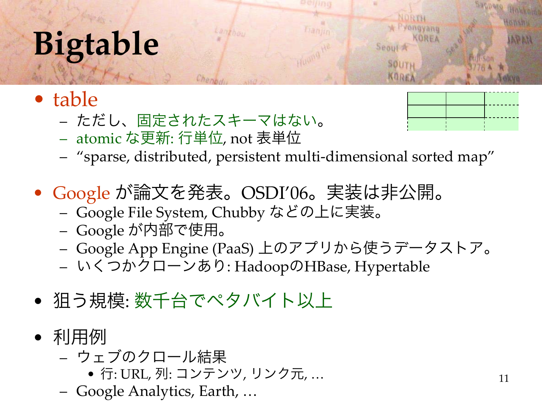## **Bigtable**

- table
	- ただし、固定されたスキーマはない。

Chane

– atomic な更新: 行単位, not 表単位



ongyang

Seoul J

SOUTH

- "sparse, distributed, persistent multi-dimensional sorted map"
- Google が論文を発表。OSDI'06。実装は非公開。

Langhou

- Google File System, Chubby などの上に実装。
- Google が内部で使用。
- Google App Engine (PaaS) 上のアプリから使うデータストア。
- いくつかクローンあり: HadoopのHBase, Hypertable
- 狙う規模: 数千台でペタバイト以上
- 利用例
	- ウェブのクロール結果
		- 行: URL, 列: コンテンツ, リンク元, …
	- Google Analytics, Earth, …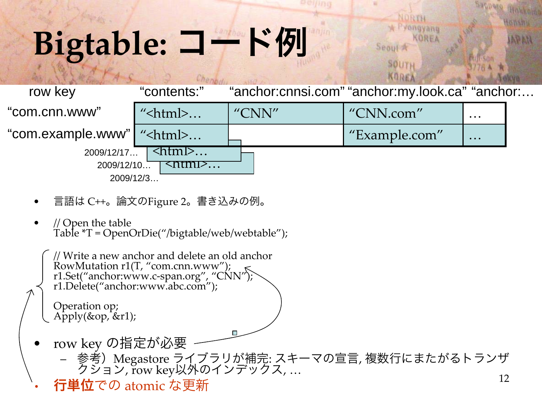## **Bigtable:** コード例

| row key                             | "contents:"                       |       | "anchor:cnnsi.com" "anchor:my.look.ca" "anchor: |                                                                           |  |
|-------------------------------------|-----------------------------------|-------|-------------------------------------------------|---------------------------------------------------------------------------|--|
| "com.cnn.www"                       | " <html><math>\dots</math></html> | "CNN" | "CNN.com"                                       | $\bullet\hspace{0.1cm} \bullet\hspace{0.1cm}\bullet\hspace{0.1cm}\bullet$ |  |
| "com.example.www"   " <html></html> |                                   |       | "Example.com"                                   | $\bullet\hspace{0.1cm} \bullet\hspace{0.1cm}\bullet\hspace{0.1cm}\bullet$ |  |
| 2009/12/17                          | $\langle \tau   \tau  $           |       |                                                 |                                                                           |  |
| 2009/12/10                          | <u><ntml>…</ntml></u>             |       |                                                 |                                                                           |  |
|                                     | 2009/12/3                         |       |                                                 |                                                                           |  |

Sannero

NORTH

Seoul A

SOUTH

Pyongyang KOREA

Hokkola

**OWSBS** 

**APAN** 

- •言語は C++。論文のFigure 2。書き込みの例。
- •// Open the table<br>Table \*T = OpenOrDie("/bigtable/web/webtable");

```
12// Write a new anchor and delete an old anchor
   RowMutation r1(T, "com.cnn.www");
   r1.Set("anchor:www.c-span.org", "CNN"); r1.Delete("anchor:www.abc.com");
   Operation op; Apply(&op, &r1);
• row key の指定が必要
        参考)Megastore ライブラリが補完: スキーマの宣言, 複数行にまたがるトランザ クション, row key以外のインデックス, …
```
•行単位での atomic な更新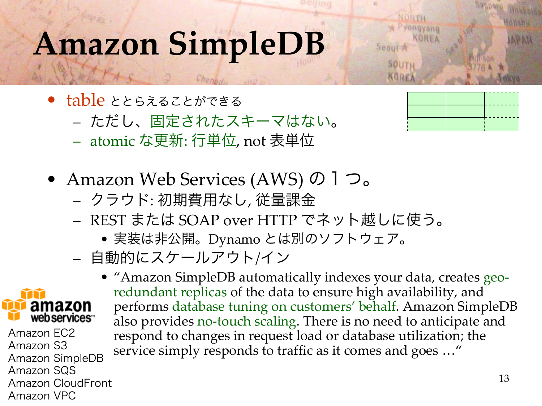#### **Amazon SimpleDB**

- table ととらえることができる
	- ただし、固定されたスキーマはない 。
	- atomic な更新: 行単位, not 表単位
- Amazon Web Services (AWS) の1つ。
	- クラウド: 初期費用なし, 従量課金
	- REST または SOAP over HTTP でネット越しに使う。
		- 実装は非公開。Dynamo とは別のソフトウェア。
	- 自動的にスケールアウト /イン
- amazon web services<sup>\*\*</sup>

Amazon EC2Amazon S3Amazon SimpleDB Amazon SQS Amazon CloudFrontAmazon VPC

• "Amazon SimpleDB automatically indexes your data, creates georedundant replicas of the data to ensure high availability, and performs database tuning on customers' behalf. Amazon SimpleDB also provides no-touch scaling. There is no need to anticipate and respond to changes in request load or database utilization; the service simply responds to traffic as it comes and goes ..."



ongyang

**ROOH** 

**SOUTS**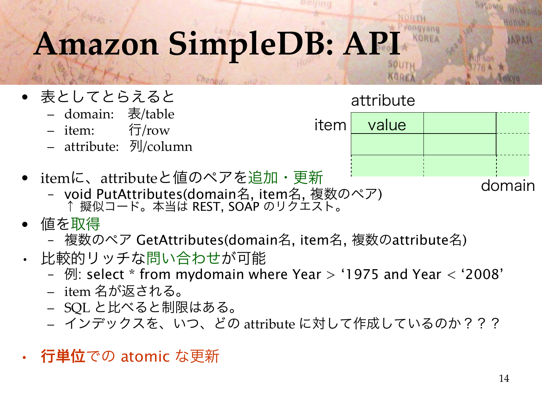### **Amazon SimpleDB: API**

Char

- 表としてとらえると
	- domain: 表/table
	- item: 行/row
	- attribute: 列/column
- itemに、attributeと値のペアを追加・更新
	- void PutAttributes(domain 名, item <sup>名</sup>, 複数のペア) <sup>↑</sup> 擬似コード。本当は REST, SOAP のリクエスト。
- • 値を取得
	- 複数のペア GetAttributes(domain 名, item 名, 複数のattribute 名)
- • 比較的リッチな問い合わせが可能
	- 例: select \* from mydomain where Year > '1975 and Year < '2008'
	- item 名が返される。
	- SQL と比べると制限はある。
	- インデックスを、いつ、どの attribute に対して作成しているのか???
- •- **行単位**での atomic な更新

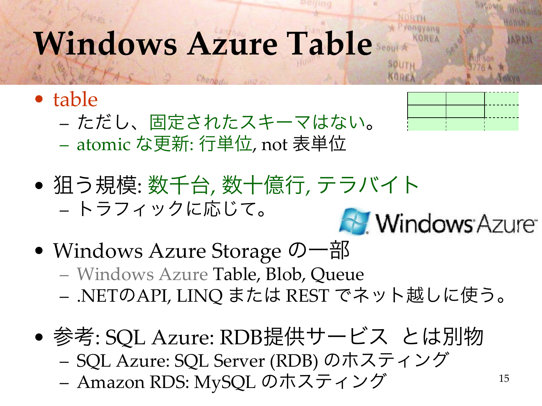#### **Windows Azure Table**

- table
	- ただし、固定されたスキーマはない 。



15

- atomic な更新: 行単位, not 表単位
- 狙う規模: 数千台, 数十億行, テラバイト •– トラフィックに応じて。 **Mindows Azure**
- • Windows Azure Storage の一部 Windows Azure Table, Blob, Queue – .NET のAPI, LINQ または REST でネット越しに使う。
- • 参考: SQL Azure: RDB提供サービス とは別物 – SQL Azure: SQL Server (RDB) のホスティング –Amazon RDS: MySQL のホスティング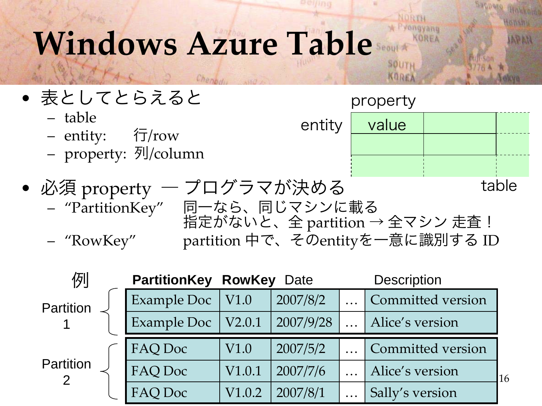#### **Windows Azure Table**



**SOUTI** KORE

| 例         |                          | <b>PartitionKey RowKey Date</b> |           |           | <b>Description</b> |    |
|-----------|--------------------------|---------------------------------|-----------|-----------|--------------------|----|
| Partition | Example Doc $\vert$ V1.0 |                                 | 2007/8/2  |           | Committed version  |    |
|           | Example Doc              | V2.0.1                          | 2007/9/28 |           | Alice's version    |    |
| Partition | FAQ Doc                  | V1.0                            | 2007/5/2  |           | Committed version  |    |
|           | FAQ Doc                  | V1.0.1                          | 2007/7/6  |           | Alice's version    | 16 |
|           | FAQ Doc                  | V1.0.2                          | 2007/8/1  | $\ddotsc$ | Sally's version    |    |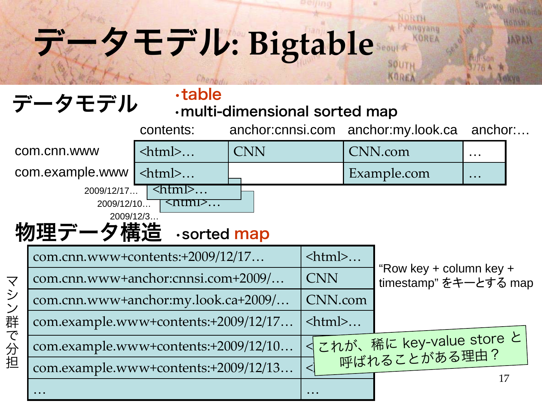## データモデル**: Bigtable**

#### データモデル

#### •table

Chenk

#### •multi-dimensional sorted map

Sanneso

APAN

VORTH

eoul A

SOUTH KORE/

ongyang KOREA

|                         |                                                  | contents:                     | anchor:cnnsi.com |                                                  | anchor:my.look.ca |                                          | anchor:                                         |  |
|-------------------------|--------------------------------------------------|-------------------------------|------------------|--------------------------------------------------|-------------------|------------------------------------------|-------------------------------------------------|--|
|                         | com.cnn.www                                      | $\text{thm}$ $>$              | <b>CNN</b>       |                                                  | CNN.com           |                                          | $\ddotsc$                                       |  |
|                         | com.example.www                                  | $\text{thm}$ $>$              |                  |                                                  | Example.com       |                                          | $\ddot{\phantom{a}}\cdot\dot{\phantom{a}}\cdot$ |  |
|                         | 2009/12/17<br>2009/12/10<br>2009/12/3<br>物理データ構造 | <html><br/>·sorted map</html> |                  |                                                  |                   |                                          |                                                 |  |
|                         | com.cnn.www+contents:+2009/12/17                 |                               |                  | <html></html>                                    |                   |                                          |                                                 |  |
| $\overline{\mathsf{Y}}$ | com.cnn.www+anchor:cnnsi.com+2009/               | <b>CNN</b>                    |                  | "Row key + column key +<br>timestamp" をキーとする map |                   |                                          |                                                 |  |
| シン                      | com.cnn.www+anchor:my.look.ca+2009/              |                               | CNN.com          |                                                  |                   |                                          |                                                 |  |
| 群                       | com.example.www+contents:+2009/12/17             |                               |                  | $\text{thm}$ $>$                                 |                   |                                          |                                                 |  |
| で分担                     | com.example.www+contents:+2009/12/10             |                               |                  |                                                  |                   | これが、稀に key-value store と<br>呼ばれることがある理由? |                                                 |  |
|                         | com.example.www+contents:+2009/12/13             |                               |                  |                                                  |                   |                                          |                                                 |  |
|                         |                                                  |                               |                  |                                                  |                   |                                          | 17                                              |  |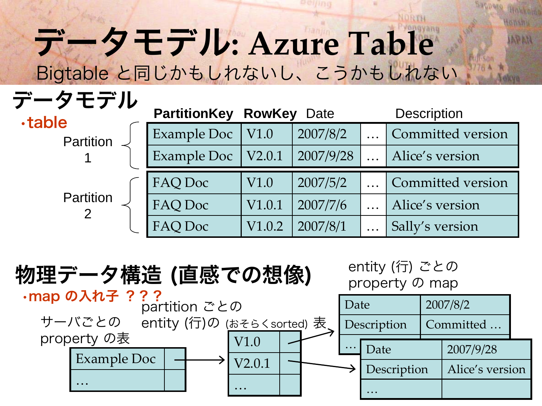#### データモデル**: Azure Table** Bigtable と同じかもしれないし、こうかもしれない

#### データモデル

| <b>.table</b>    | <b>PartitionKey RowKey</b> |        | Date      | <b>Description</b> |                   |  |
|------------------|----------------------------|--------|-----------|--------------------|-------------------|--|
| Partition        | Example Doc                | V1.0   | 2007/8/2  |                    | Committed version |  |
|                  | <b>Example Doc</b>         | V2.0.1 | 2007/9/28 |                    | Alice's version   |  |
|                  | FAQ Doc                    | V1.0   | 2007/5/2  |                    | Committed version |  |
| <b>Partition</b> | FAQ Doc                    | V1.0.1 | 2007/7/6  |                    | Alice's version   |  |
|                  | FAQ Doc                    | V1.0.2 | 2007/8/1  | $\ddotsc$          | Sally's version   |  |

**APAN** 

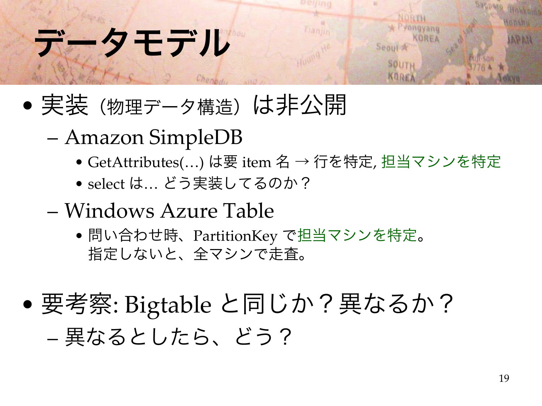#### データモデル

- •●実装(物理データ構造)は非公開
	- – Amazon SimpleDB
		- GetAttributes(…) は要 item 名 <sup>→</sup> 行を特定, 担当マシンを特定

**SBAUL** 

SOUTI

- select は… どう実装してるのか?
- Windows Azure Table
	- 問い合わせ時、PartitionKey で担当マシンを特定 。 指定しないと、全マシンで走査。
- • 要考察: Bigtable と同じか?異なるか? –異なるとしたら、どう?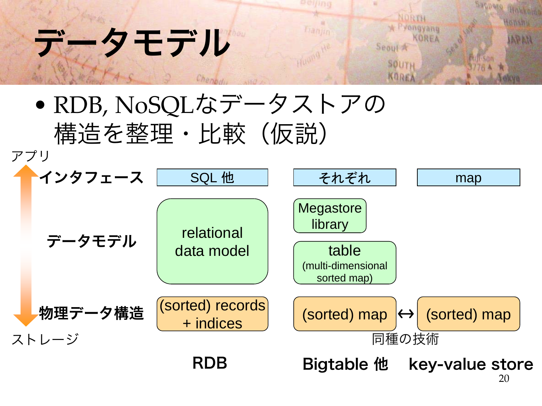#### タモデル



Tranjin

Sappere Howkers

towshu

**APAN** 

NORTH

Seoul A

SOUTH

A Pyongyang

KOREA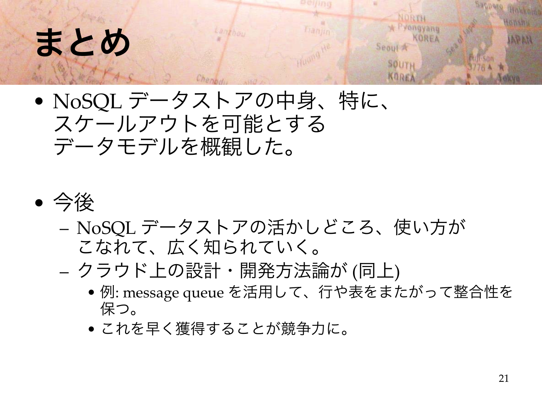### まとめ

#### • NoSQL データストアの中身、特に、 スケールアウトを可能とする データモデルを概観した。



- – NoSQL データストアの活かしどころ、使い方が こなれて、広く知られていく。
- – クラウド上の設計・開発方法論が (同上)
	- <sup>例</sup>: message queue を活用して、行や表をまたがって整合性を 保つ。
	- これを早く獲得することが競争力に。

ongyang KOREA

Seoul A

SOUTH KORE